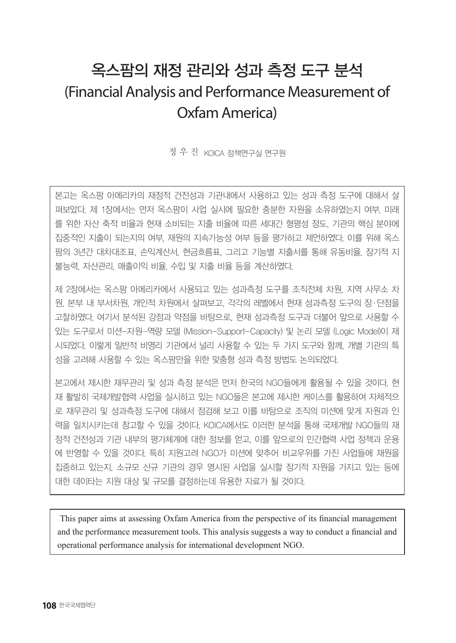# 옥스팜의 재정 관리와 성과 측정 도구 분석 (Financial Analysis and Performance Measurement of Oxfam America)

정 우 진 KOICA 정책연구실 연구원

본고는 옥스팜 아메리카의 재정적 건전성과 기관내에서 사용하고 있는 성과 측정 도구에 대해서 살 펴보았다. 제 1장에서는 먼저 옥스팜이 사업 실시에 필요한 충분한 자원을 소유하였는지 여부, 미래 를 위한 자산 축적 비율과 현재 소비되는 지출 비율에 따른 세대간 형평성 정도, 기관의 핵심 분야에 집중적인 지출이 되는지의 여부, 재원의 지속가능성 여부 등을 평가하고 제언하였다. 이를 위해 옥스 팜의 3년간 대차대조표, 손익계산서, 현금흐름표, 그리고 기능별 지출서를 통해 유동비율, 장기적 지 불능력, 자산관리, 매출이익 비율, 수입 및 지출 비율 등을 계산하였다.

제 2장에서는 옥스팜 아메리카에서 사용되고 있는 성과측정 도구를 조직전체 차원, 지역 사무소 차 원, 본부 내 부서차원, 개인적 차원에서 살펴보고, 각각의 레벨에서 현재 성과측정 도구의 장·단점을 고찰하였다. 여기서 분석된 강점과 약점을 바탕으로, 현재 성과측정 도구과 더불어 앞으로 사용할 수 있는 도구로서 미션-자원-역량 모델 (Mission-Support-Capacity) 및 논리 모델 (Logic Model)이 제 시되었다. 이렇게 일반적 비영리 기관에서 널리 사용할 수 있는 두 가지 도구와 함께, 개별 기관의 특 성을 고려해 사용할 수 있는 옥스팜만을 위한 맞춤형 성과 측정 방법도 논의되었다.

본고에서 제시한 재무관리 및 성과 측정 분석은 먼저 한국의 NGO들에게 활용될 수 있을 것이다. 현 재 활발히 국제개발협력 사업을 실시하고 있는 NGO들은 본고에 제시한 케이스를 활용하여 자체적으 로 재무관리 및 성과측정 도구에 대해서 점검해 보고 이를 바탕으로 조직의 미션에 맞게 자원과 인 력을 일치시키는데 참고할 수 있을 것이다. KOICA에서도 이러한 분석을 통해 국제개발 NGO들의 재 정적 건전성과 기관 내부의 평가체계에 대한 정보를 얻고, 이를 앞으로의 민간협력 사업 정책과 운용 에 반영할 수 있을 것이다. 특히 지원고려 NGO가 미션에 맞추어 비교우위를 가진 사업들에 재원을 집중하고 있는지, 소규모 신규 기관의 경우 명시된 사업을 실시할 장기적 자원을 가지고 있는 등에 대한 데이타는 지원 대상 및 규모를 결정하는데 유용한 자료가 될 것이다.

This paper aims at assessing Oxfam America from the perspective of its financial management and the performance measurement tools. This analysis suggests a way to conduct a financial and operational performance analysis for international development NGO.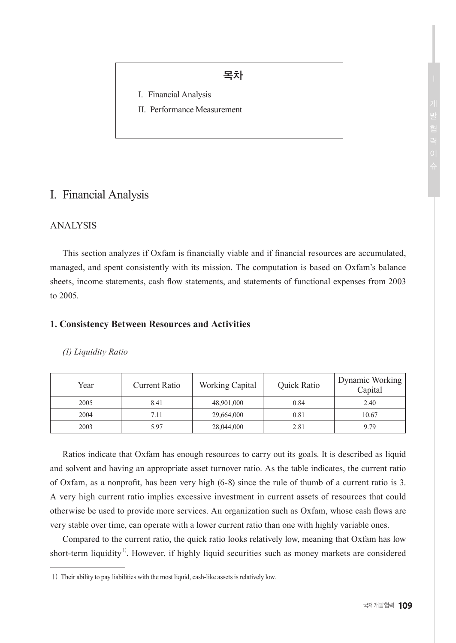# 목차

- I. Financial Analysis
- II. Performance Measurement

# I. Financial Analysis

# ANALYSIS

This section analyzes if Oxfam is financially viable and if financial resources are accumulated, managed, and spent consistently with its mission. The computation is based on Oxfam's balance sheets, income statements, cash flow statements, and statements of functional expenses from 2003 to 2005.

## **1. Consistency Between Resources and Activities**

#### *(1) Liquidity Ratio*

| Year | Current Ratio | Working Capital | Quick Ratio | Dynamic Working<br>Capital |
|------|---------------|-----------------|-------------|----------------------------|
| 2005 | 8.41          | 48,901,000      | 0.84        | 2.40                       |
| 2004 | 7.11          | 29,664,000      | 0.81        | 10.67                      |
| 2003 | 5.97          | 28,044,000      | 2.81        | 979                        |

Ratios indicate that Oxfam has enough resources to carry out its goals. It is described as liquid and solvent and having an appropriate asset turnover ratio. As the table indicates, the current ratio of Oxfam, as a nonprofit, has been very high (6-8) since the rule of thumb of a current ratio is 3. A very high current ratio implies excessive investment in current assets of resources that could otherwise be used to provide more services. An organization such as Oxfam, whose cash flows are very stable over time, can operate with a lower current ratio than one with highly variable ones.

Compared to the current ratio, the quick ratio looks relatively low, meaning that Oxfam has low short-term liquidity<sup>1)</sup>. However, if highly liquid securities such as money markets are considered

<sup>1)</sup> Their ability to pay liabilities with the most liquid, cash-like assets is relatively low.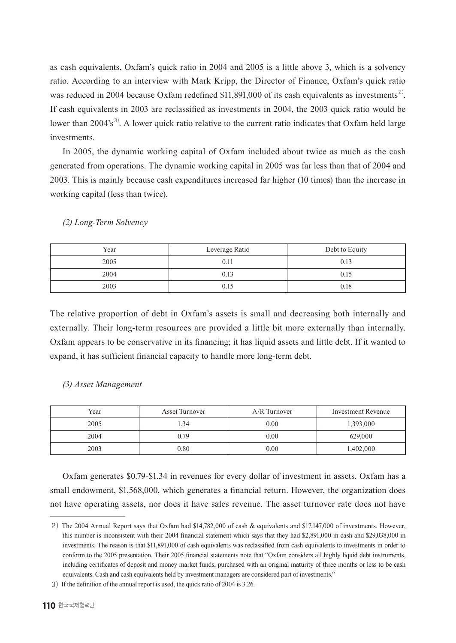as cash equivalents, Oxfam's quick ratio in 2004 and 2005 is a little above 3, which is a solvency ratio. According to an interview with Mark Kripp, the Director of Finance, Oxfam's quick ratio was reduced in 2004 because Oxfam redefined \$11,891,000 of its cash equivalents as investments<sup>2)</sup>. If cash equivalents in 2003 are reclassified as investments in 2004, the 2003 quick ratio would be lower than 2004's<sup>3)</sup>. A lower quick ratio relative to the current ratio indicates that Oxfam held large investments.

In 2005, the dynamic working capital of Oxfam included about twice as much as the cash generated from operations. The dynamic working capital in 2005 was far less than that of 2004 and 2003. This is mainly because cash expenditures increased far higher (10 times) than the increase in working capital (less than twice).

| Year | Leverage Ratio | Debt to Equity |
|------|----------------|----------------|
| 2005 | 0.1            | 0.13           |
| 2004 |                | 0.15           |
| 2003 | 0.15           | 0.18           |

#### *(2) Long-Term Solvency*

The relative proportion of debt in Oxfam's assets is small and decreasing both internally and externally. Their long-term resources are provided a little bit more externally than internally. Oxfam appears to be conservative in its financing; it has liquid assets and little debt. If it wanted to expand, it has sufficient financial capacity to handle more long-term debt.

#### *(3) Asset Management*

| Year | Asset Turnover | $A/R$ Turnover | <b>Investment Revenue</b> |
|------|----------------|----------------|---------------------------|
| 2005 | l.34           | 0.00           | 1,393,000                 |
| 2004 | 0.79           | 0.00           | 629,000                   |
| 2003 | 0.80           | 0.00           | 1,402,000                 |

Oxfam generates \$0.79-\$1.34 in revenues for every dollar of investment in assets. Oxfam has a small endowment, \$1,568,000, which generates a financial return. However, the organization does not have operating assets, nor does it have sales revenue. The asset turnover rate does not have

<sup>2)</sup>  The 2004 Annual Report says that Oxfam had \$14,782,000 of cash & equivalents and \$17,147,000 of investments. However, this number is inconsistent with their 2004 financial statement which says that they had \$2,891,000 in cash and \$29,038,000 in investments. The reason is that \$11,891,000 of cash equivalents was reclassified from cash equivalents to investments in order to conform to the 2005 presentation. Their 2005 financial statements note that "Oxfam considers all highly liquid debt instruments, including certificates of deposit and money market funds, purchased with an original maturity of three months or less to be cash equivalents. Cash and cash equivalents held by investment managers are considered part of investments."

<sup>3)</sup> If the definition of the annual report is used, the quick ratio of 2004 is 3.26.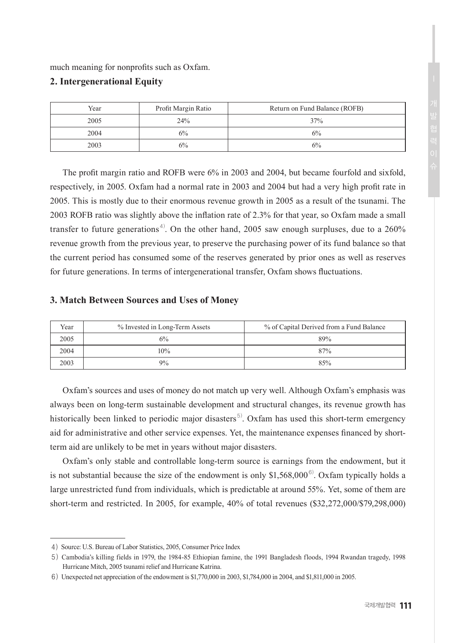much meaning for nonprofits such as Oxfam.

# **2. Intergenerational Equity**

| Year | Profit Margin Ratio | Return on Fund Balance (ROFB) |
|------|---------------------|-------------------------------|
| 2005 | 24%                 | 37%                           |
| 2004 | 6%                  | 6%                            |
| 2003 | $6\%$               | 6%                            |

The profit margin ratio and ROFB were 6% in 2003 and 2004, but became fourfold and sixfold, respectively, in 2005. Oxfam had a normal rate in 2003 and 2004 but had a very high profit rate in 2005. This is mostly due to their enormous revenue growth in 2005 as a result of the tsunami. The 2003 ROFB ratio was slightly above the inflation rate of 2.3% for that year, so Oxfam made a small transfer to future generations<sup>4)</sup>. On the other hand, 2005 saw enough surpluses, due to a 260% revenue growth from the previous year, to preserve the purchasing power of its fund balance so that the current period has consumed some of the reserves generated by prior ones as well as reserves for future generations. In terms of intergenerational transfer, Oxfam shows fluctuations.

# **3. Match Between Sources and Uses of Money**

| Year | % Invested in Long-Term Assets | % of Capital Derived from a Fund Balance |
|------|--------------------------------|------------------------------------------|
| 2005 | 6%                             | 89%                                      |
| 2004 | 10%                            | 87%                                      |
| 2003 | 9%                             | 85%                                      |

Oxfam's sources and uses of money do not match up very well. Although Oxfam's emphasis was always been on long-term sustainable development and structural changes, its revenue growth has historically been linked to periodic major disasters<sup>5)</sup>. Oxfam has used this short-term emergency aid for administrative and other service expenses. Yet, the maintenance expenses financed by shortterm aid are unlikely to be met in years without major disasters.

Oxfam's only stable and controllable long-term source is earnings from the endowment, but it is not substantial because the size of the endowment is only \$1,568,000 $\degree$ ). Oxfam typically holds a large unrestricted fund from individuals, which is predictable at around 55%. Yet, some of them are short-term and restricted. In 2005, for example, 40% of total revenues (\$32,272,000/\$79,298,000)

<sup>4)</sup>  Source: U.S. Bureau of Labor Statistics, 2005, Consumer Price Index

<sup>5)</sup> Cambodia's killing fields in 1979, the 1984-85 Ethiopian famine, the 1991 Bangladesh floods, 1994 Rwandan tragedy, 1998 Hurricane Mitch, 2005 tsunami relief and Hurricane Katrina.

<sup>6)</sup> Unexpected net appreciation of the endowment is \$1,770,000 in 2003, \$1,784,000 in 2004, and \$1,811,000 in 2005.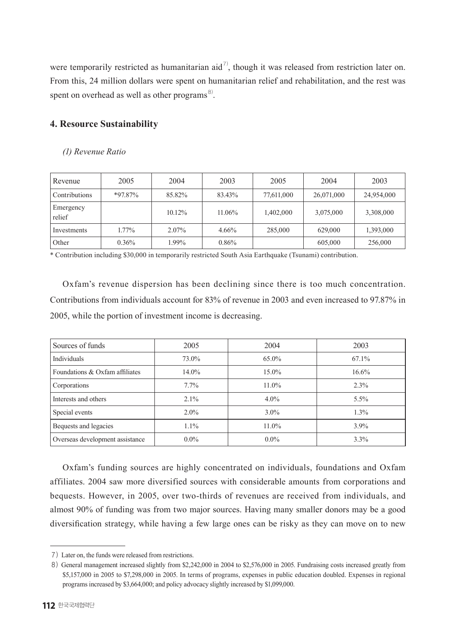were temporarily restricted as humanitarian aid<sup>7</sup>, though it was released from restriction later on. From this, 24 million dollars were spent on humanitarian relief and rehabilitation, and the rest was spent on overhead as well as other programs<sup>8)</sup>.

# **4. Resource Sustainability**

#### *(1) Revenue Ratio*

| Revenue             | 2005       | 2004      | 2003     | 2005       | 2004       | 2003       |
|---------------------|------------|-----------|----------|------------|------------|------------|
| Contributions       | $*97.87\%$ | 85.82%    | 83.43%   | 77,611,000 | 26,071,000 | 24,954,000 |
| Emergency<br>relief |            | $10.12\%$ | 11.06%   | 1,402,000  | 3,075,000  | 3,308,000  |
| Investments         | 1.77%      | 2.07%     | 4.66%    | 285,000    | 629,000    | 1,393,000  |
| Other               | $0.36\%$   | 1.99%     | $0.86\%$ |            | 605,000    | 256,000    |

\* Contribution including \$30,000 in temporarily restricted South Asia Earthquake (Tsunami) contribution.

Oxfam's revenue dispersion has been declining since there is too much concentration. Contributions from individuals account for 83% of revenue in 2003 and even increased to 97.87% in 2005, while the portion of investment income is decreasing.

| Sources of funds                | 2005    | 2004     | 2003    |
|---------------------------------|---------|----------|---------|
| Individuals                     | 73.0%   | 65.0%    | 67.1%   |
| Foundations & Oxfam affiliates  | 14.0%   | 15.0%    | 16.6%   |
| Corporations                    | 7.7%    | $11.0\%$ | 2.3%    |
| Interests and others            | $2.1\%$ | $4.0\%$  | $5.5\%$ |
| Special events                  | $2.0\%$ | $3.0\%$  | $1.3\%$ |
| Bequests and legacies           | $1.1\%$ | $11.0\%$ | $3.9\%$ |
| Overseas development assistance | $0.0\%$ | $0.0\%$  | 3.3%    |

Oxfam's funding sources are highly concentrated on individuals, foundations and Oxfam affiliates. 2004 saw more diversified sources with considerable amounts from corporations and bequests. However, in 2005, over two-thirds of revenues are received from individuals, and almost 90% of funding was from two major sources. Having many smaller donors may be a good diversification strategy, while having a few large ones can be risky as they can move on to new

<sup>7)</sup> Later on, the funds were released from restrictions.

<sup>8)</sup> General management increased slightly from \$2,242,000 in 2004 to \$2,576,000 in 2005. Fundraising costs increased greatly from \$5,157,000 in 2005 to \$7,298,000 in 2005. In terms of programs, expenses in public education doubled. Expenses in regional programs increased by \$3,664,000; and policy advocacy slightly increased by \$1,099,000.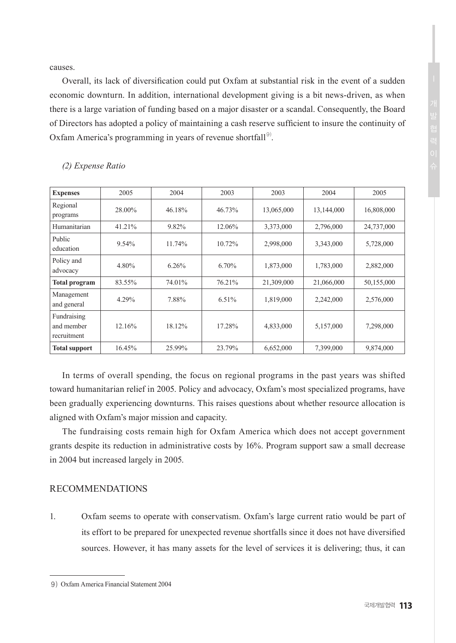causes.

Overall, its lack of diversification could put Oxfam at substantial risk in the event of a sudden economic downturn. In addition, international development giving is a bit news-driven, as when there is a large variation of funding based on a major disaster or a scandal. Consequently, the Board of Directors has adopted a policy of maintaining a cash reserve sufficient to insure the continuity of Oxfam America's programming in years of revenue shortfall<sup>9)</sup>.

| <b>Expenses</b>                          | 2005   | 2004   | 2003     | 2003       | 2004       | 2005       |
|------------------------------------------|--------|--------|----------|------------|------------|------------|
| Regional<br>programs                     | 28.00% | 46.18% | 46.73%   | 13,065,000 | 13,144,000 | 16,808,000 |
| Humanitarian                             | 41.21% | 9.82%  | 12.06%   | 3,373,000  | 2,796,000  | 24,737,000 |
| Public<br>education                      | 9.54%  | 11.74% | 10.72%   | 2,998,000  | 3,343,000  | 5,728,000  |
| Policy and<br>advocacy                   | 4.80%  | 6.26%  | $6.70\%$ | 1,873,000  | 1,783,000  | 2,882,000  |
| <b>Total program</b>                     | 83.55% | 74.01% | 76.21%   | 21,309,000 | 21,066,000 | 50,155,000 |
| Management<br>and general                | 4.29%  | 7.88%  | $6.51\%$ | 1,819,000  | 2,242,000  | 2,576,000  |
| Fundraising<br>and member<br>recruitment | 12.16% | 18.12% | 17.28%   | 4,833,000  | 5,157,000  | 7,298,000  |
| <b>Total support</b>                     | 16.45% | 25.99% | 23.79%   | 6,652,000  | 7,399,000  | 9,874,000  |

# *(2) Expense Ratio*

In terms of overall spending, the focus on regional programs in the past years was shifted toward humanitarian relief in 2005. Policy and advocacy, Oxfam's most specialized programs, have been gradually experiencing downturns. This raises questions about whether resource allocation is aligned with Oxfam's major mission and capacity.

The fundraising costs remain high for Oxfam America which does not accept government grants despite its reduction in administrative costs by 16%. Program support saw a small decrease in 2004 but increased largely in 2005.

# RECOMMENDATIONS

1. Oxfam seems to operate with conservatism. Oxfam's large current ratio would be part of its effort to be prepared for unexpected revenue shortfalls since it does not have diversified sources. However, it has many assets for the level of services it is delivering; thus, it can

<sup>9)</sup> Oxfam America Financial Statement 2004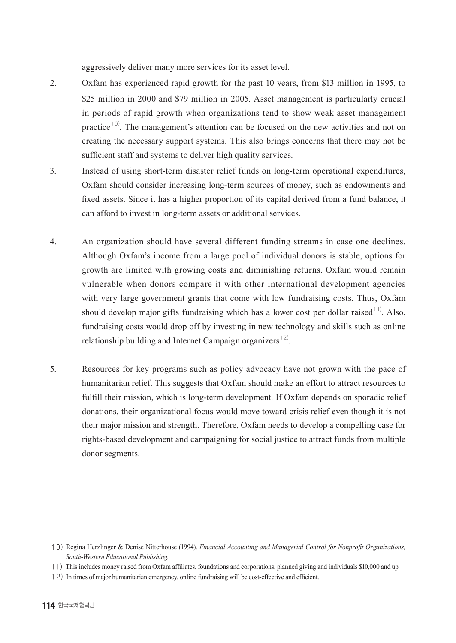aggressively deliver many more services for its asset level.

- 2. Oxfam has experienced rapid growth for the past 10 years, from \$13 million in 1995, to \$25 million in 2000 and \$79 million in 2005. Asset management is particularly crucial in periods of rapid growth when organizations tend to show weak asset management practice<sup>10)</sup>. The management's attention can be focused on the new activities and not on creating the necessary support systems. This also brings concerns that there may not be sufficient staff and systems to deliver high quality services.
- 3. Instead of using short-term disaster relief funds on long-term operational expenditures, Oxfam should consider increasing long-term sources of money, such as endowments and fixed assets. Since it has a higher proportion of its capital derived from a fund balance, it can afford to invest in long-term assets or additional services.
- 4. An organization should have several different funding streams in case one declines. Although Oxfam's income from a large pool of individual donors is stable, options for growth are limited with growing costs and diminishing returns. Oxfam would remain vulnerable when donors compare it with other international development agencies with very large government grants that come with low fundraising costs. Thus, Oxfam should develop major gifts fundraising which has a lower cost per dollar raised<sup>11)</sup>. Also, fundraising costs would drop off by investing in new technology and skills such as online relationship building and Internet Campaign organizers<sup>12)</sup>.
- 5. Resources for key programs such as policy advocacy have not grown with the pace of humanitarian relief. This suggests that Oxfam should make an effort to attract resources to fulfill their mission, which is long-term development. If Oxfam depends on sporadic relief donations, their organizational focus would move toward crisis relief even though it is not their major mission and strength. Therefore, Oxfam needs to develop a compelling case for rights-based development and campaigning for social justice to attract funds from multiple donor segments.

<sup>10)</sup> Regina Herzlinger & Denise Nitterhouse (1994). *Financial Accounting and Managerial Control for Nonprofit Organizations, South-Western Educational Publishing.*

<sup>11)</sup> This includes money raised from Oxfam affiliates, foundations and corporations, planned giving and individuals \$10,000 and up.

<sup>12)</sup> In times of major humanitarian emergency, online fundraising will be cost-effective and efficient.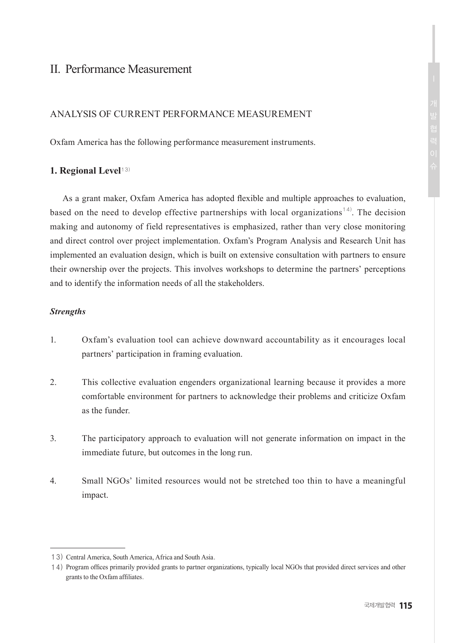# II. Performance Measurement

## ANALYSIS OF CURRENT PERFORMANCE MEASUREMENT

Oxfam America has the following performance measurement instruments.

#### **1. Regional Level**13)

As a grant maker, Oxfam America has adopted flexible and multiple approaches to evaluation, based on the need to develop effective partnerships with local organizations<sup>14)</sup>. The decision making and autonomy of field representatives is emphasized, rather than very close monitoring and direct control over project implementation. Oxfam's Program Analysis and Research Unit has implemented an evaluation design, which is built on extensive consultation with partners to ensure their ownership over the projects. This involves workshops to determine the partners' perceptions and to identify the information needs of all the stakeholders.

# *Strengths*

- 1. Oxfam's evaluation tool can achieve downward accountability as it encourages local partners' participation in framing evaluation.
- 2. This collective evaluation engenders organizational learning because it provides a more comfortable environment for partners to acknowledge their problems and criticize Oxfam as the funder.
- 3. The participatory approach to evaluation will not generate information on impact in the immediate future, but outcomes in the long run.
- 4. Small NGOs' limited resources would not be stretched too thin to have a meaningful impact.

<sup>13)</sup> Central America, South America, Africa and South Asia.

<sup>14)</sup>  Program offices primarily provided grants to partner organizations, typically local NGOs that provided direct services and other grants to the Oxfam affiliates.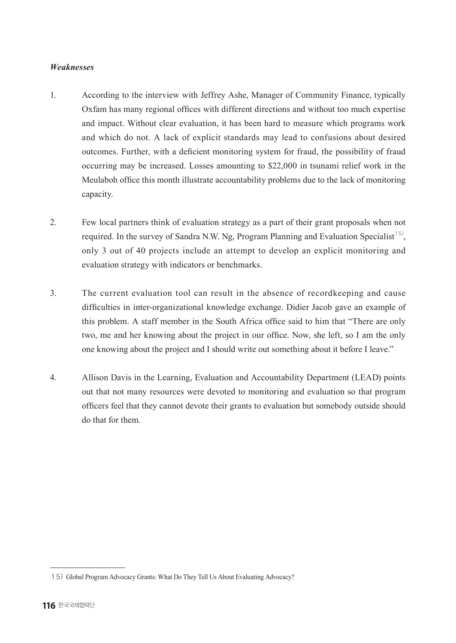# *Weaknesses*

- 1. According to the interview with Jeffrey Ashe, Manager of Community Finance, typically Oxfam has many regional offices with different directions and without too much expertise and impact. Without clear evaluation, it has been hard to measure which programs work and which do not. A lack of explicit standards may lead to confusions about desired outcomes. Further, with a deficient monitoring system for fraud, the possibility of fraud occurring may be increased. Losses amounting to \$22,000 in tsunami relief work in the Meulaboh office this month illustrate accountability problems due to the lack of monitoring capacity.
- 2. Few local partners think of evaluation strategy as a part of their grant proposals when not required. In the survey of Sandra N.W. Ng, Program Planning and Evaluation Specialist<sup>15</sup>, only 3 out of 40 projects include an attempt to develop an explicit monitoring and evaluation strategy with indicators or benchmarks.
- 3. The current evaluation tool can result in the absence of recordkeeping and cause difficulties in inter-organizational knowledge exchange. Didier Jacob gave an example of this problem. A staff member in the South Africa office said to him that "There are only two, me and her knowing about the project in our office. Now, she left, so I am the only one knowing about the project and I should write out something about it before I leave."
- 4. Allison Davis in the Learning, Evaluation and Accountability Department (LEAD) points out that not many resources were devoted to monitoring and evaluation so that program officers feel that they cannot devote their grants to evaluation but somebody outside should do that for them.

<sup>15)</sup> Global Program Advocacy Grants: What Do They Tell Us About Evaluating Advocacy?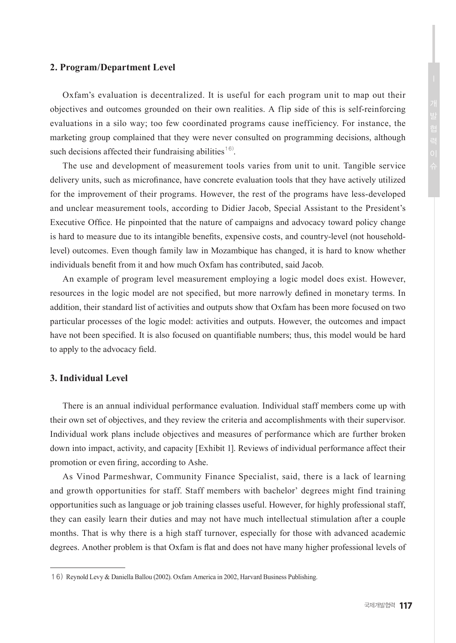#### **2. Program/Department Level**

Oxfam's evaluation is decentralized. It is useful for each program unit to map out their objectives and outcomes grounded on their own realities. A flip side of this is self-reinforcing evaluations in a silo way; too few coordinated programs cause inefficiency. For instance, the marketing group complained that they were never consulted on programming decisions, although such decisions affected their fundraising abilities<sup>16)</sup>.

The use and development of measurement tools varies from unit to unit. Tangible service delivery units, such as microfinance, have concrete evaluation tools that they have actively utilized for the improvement of their programs. However, the rest of the programs have less-developed and unclear measurement tools, according to Didier Jacob, Special Assistant to the President's Executive Office. He pinpointed that the nature of campaigns and advocacy toward policy change is hard to measure due to its intangible benefits, expensive costs, and country-level (not householdlevel) outcomes. Even though family law in Mozambique has changed, it is hard to know whether individuals benefit from it and how much Oxfam has contributed, said Jacob.

An example of program level measurement employing a logic model does exist. However, resources in the logic model are not specified, but more narrowly defined in monetary terms. In addition, their standard list of activities and outputs show that Oxfam has been more focused on two particular processes of the logic model: activities and outputs. However, the outcomes and impact have not been specified. It is also focused on quantifiable numbers; thus, this model would be hard to apply to the advocacy field.

## **3. Individual Level**

There is an annual individual performance evaluation. Individual staff members come up with their own set of objectives, and they review the criteria and accomplishments with their supervisor. Individual work plans include objectives and measures of performance which are further broken down into impact, activity, and capacity [Exhibit 1]. Reviews of individual performance affect their promotion or even firing, according to Ashe.

As Vinod Parmeshwar, Community Finance Specialist, said, there is a lack of learning and growth opportunities for staff. Staff members with bachelor' degrees might find training opportunities such as language or job training classes useful. However, for highly professional staff, they can easily learn their duties and may not have much intellectual stimulation after a couple months. That is why there is a high staff turnover, especially for those with advanced academic degrees. Another problem is that Oxfam is flat and does not have many higher professional levels of

<sup>16)</sup> Reynold Levy & Daniella Ballou (2002). Oxfam America in 2002, Harvard Business Publishing.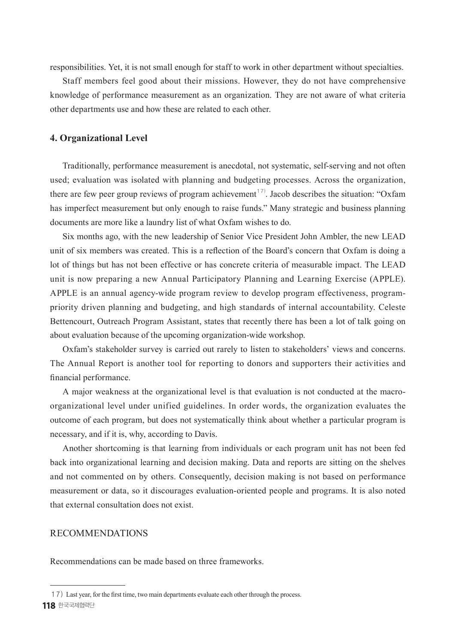responsibilities. Yet, it is not small enough for staff to work in other department without specialties.

Staff members feel good about their missions. However, they do not have comprehensive knowledge of performance measurement as an organization. They are not aware of what criteria other departments use and how these are related to each other.

## **4. Organizational Level**

Traditionally, performance measurement is anecdotal, not systematic, self-serving and not often used; evaluation was isolated with planning and budgeting processes. Across the organization, there are few peer group reviews of program achievement<sup>17</sup>. Jacob describes the situation: "Oxfam has imperfect measurement but only enough to raise funds." Many strategic and business planning documents are more like a laundry list of what Oxfam wishes to do.

Six months ago, with the new leadership of Senior Vice President John Ambler, the new LEAD unit of six members was created. This is a reflection of the Board's concern that Oxfam is doing a lot of things but has not been effective or has concrete criteria of measurable impact. The LEAD unit is now preparing a new Annual Participatory Planning and Learning Exercise (APPLE). APPLE is an annual agency-wide program review to develop program effectiveness, programpriority driven planning and budgeting, and high standards of internal accountability. Celeste Bettencourt, Outreach Program Assistant, states that recently there has been a lot of talk going on about evaluation because of the upcoming organization-wide workshop.

Oxfam's stakeholder survey is carried out rarely to listen to stakeholders' views and concerns. The Annual Report is another tool for reporting to donors and supporters their activities and financial performance.

A major weakness at the organizational level is that evaluation is not conducted at the macroorganizational level under unified guidelines. In order words, the organization evaluates the outcome of each program, but does not systematically think about whether a particular program is necessary, and if it is, why, according to Davis.

Another shortcoming is that learning from individuals or each program unit has not been fed back into organizational learning and decision making. Data and reports are sitting on the shelves and not commented on by others. Consequently, decision making is not based on performance measurement or data, so it discourages evaluation-oriented people and programs. It is also noted that external consultation does not exist.

## RECOMMENDATIONS

Recommendations can be made based on three frameworks.

**<sup>118</sup>** 한국국제협력단 17) Last year, for the first time, two main departments evaluate each other through the process.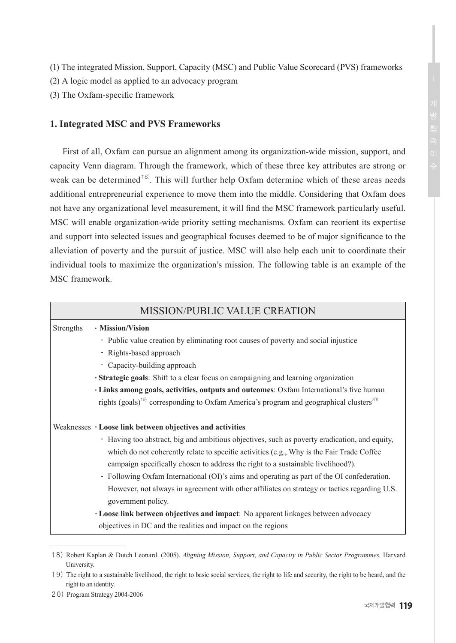- (1) The integrated Mission, Support, Capacity (MSC) and Public Value Scorecard (PVS) frameworks
- (2) A logic model as applied to an advocacy program
- (3) The Oxfam-specific framework

# **1. Integrated MSC and PVS Frameworks**

First of all, Oxfam can pursue an alignment among its organization-wide mission, support, and capacity Venn diagram. Through the framework, which of these three key attributes are strong or weak can be determined<sup>18)</sup>. This will further help Oxfam determine which of these areas needs additional entrepreneurial experience to move them into the middle. Considering that Oxfam does not have any organizational level measurement, it will find the MSC framework particularly useful. MSC will enable organization-wide priority setting mechanisms. Oxfam can reorient its expertise and support into selected issues and geographical focuses deemed to be of major significance to the alleviation of poverty and the pursuit of justice. MSC will also help each unit to coordinate their individual tools to maximize the organization's mission. The following table is an example of the MSC framework.

|           | MISSION/PUBLIC VALUE CREATION                                                                                      |
|-----------|--------------------------------------------------------------------------------------------------------------------|
| Strengths | · Mission/Vision                                                                                                   |
|           | - Public value creation by eliminating root causes of poverty and social injustice                                 |
|           | - Rights-based approach                                                                                            |
|           | - Capacity-building approach                                                                                       |
|           | · Strategic goals: Shift to a clear focus on campaigning and learning organization                                 |
|           | · Links among goals, activities, outputs and outcomes: Oxfam International's five human                            |
|           | rights (goals) <sup>19)</sup> corresponding to Oxfam America's program and geographical clusters <sup>20)</sup>    |
|           | Weaknesses • Loose link between objectives and activities                                                          |
|           | - Having too abstract, big and ambitious objectives, such as poverty eradication, and equity,                      |
|           | which do not coherently relate to specific activities (e.g., Why is the Fair Trade Coffee                          |
|           | campaign specifically chosen to address the right to a sustainable livelihood?).                                   |
|           | - Following Oxfam International (OI)'s aims and operating as part of the OI confederation.                         |
|           | However, not always in agreement with other affiliates on strategy or tactics regarding U.S.<br>government policy. |
|           | • Loose link between objectives and impact: No apparent linkages between advocacy                                  |
|           | objectives in DC and the realities and impact on the regions                                                       |

<sup>18)</sup> Robert Kaplan & Dutch Leonard. (2005). *Aligning Mission, Support, and Capacity in Public Sector Programmes,* Harvard University.

20) Program Strategy 2004-2006

<sup>19)</sup> The right to a sustainable livelihood, the right to basic social services, the right to life and security, the right to be heard, and the right to an identity.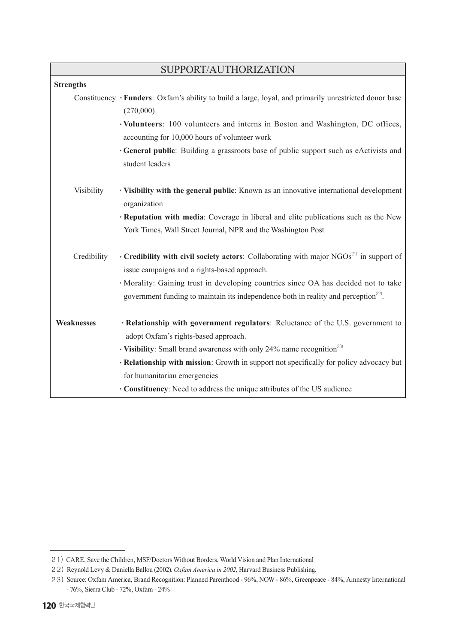| SUPPORT/AUTHORIZATION |                                                                                                                                             |  |  |  |  |  |
|-----------------------|---------------------------------------------------------------------------------------------------------------------------------------------|--|--|--|--|--|
| <b>Strengths</b>      |                                                                                                                                             |  |  |  |  |  |
|                       | Constituency • Funders: Oxfam's ability to build a large, loyal, and primarily unrestricted donor base<br>(270,000)                         |  |  |  |  |  |
|                       | • Volunteers: 100 volunteers and interns in Boston and Washington, DC offices,<br>accounting for 10,000 hours of volunteer work             |  |  |  |  |  |
|                       | · General public: Building a grassroots base of public support such as eActivists and<br>student leaders                                    |  |  |  |  |  |
| Visibility            | • Visibility with the general public: Known as an innovative international development<br>organization                                      |  |  |  |  |  |
|                       | <b>· Reputation with media:</b> Coverage in liberal and elite publications such as the New                                                  |  |  |  |  |  |
|                       | York Times, Wall Street Journal, NPR and the Washington Post                                                                                |  |  |  |  |  |
| Credibility           | • Credibility with civil society actors: Collaborating with major $NGOs^{21}$ in support of<br>issue campaigns and a rights-based approach. |  |  |  |  |  |
|                       | · Morality: Gaining trust in developing countries since OA has decided not to take                                                          |  |  |  |  |  |
|                       | government funding to maintain its independence both in reality and perception <sup>22)</sup> .                                             |  |  |  |  |  |
| <b>Weaknesses</b>     | · Relationship with government regulators: Reluctance of the U.S. government to<br>adopt Oxfam's rights-based approach.                     |  |  |  |  |  |
|                       | • Visibility: Small brand awareness with only 24% name recognition <sup>23)</sup>                                                           |  |  |  |  |  |
|                       | · Relationship with mission: Growth in support not specifically for policy advocacy but                                                     |  |  |  |  |  |
|                       | for humanitarian emergencies                                                                                                                |  |  |  |  |  |
|                       | • Constituency: Need to address the unique attributes of the US audience                                                                    |  |  |  |  |  |

<sup>21)</sup> CARE, Save the Children, MSF/Doctors Without Borders, World Vision and Plan International

<sup>22)</sup> Reynold Levy & Daniella Ballou (2002). *Oxfam America in 2002*, Harvard Business Publishing.

<sup>23)</sup>  Source: Oxfam America, Brand Recognition: Planned Parenthood - 96%, NOW - 86%, Greenpeace - 84%, Amnesty International - 76%, Sierra Club - 72%, Oxfam - 24%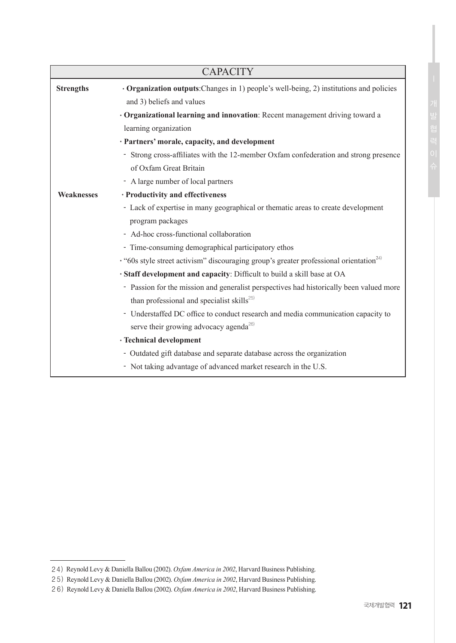| <b>CAPACITY</b>   |                                                                                                          |  |  |  |  |
|-------------------|----------------------------------------------------------------------------------------------------------|--|--|--|--|
| <b>Strengths</b>  | · Organization outputs: Changes in 1) people's well-being, 2) institutions and policies                  |  |  |  |  |
|                   | and 3) beliefs and values                                                                                |  |  |  |  |
|                   | · Organizational learning and innovation: Recent management driving toward a                             |  |  |  |  |
|                   | learning organization                                                                                    |  |  |  |  |
|                   | · Partners' morale, capacity, and development                                                            |  |  |  |  |
|                   | - Strong cross-affiliates with the 12-member Oxfam confederation and strong presence                     |  |  |  |  |
|                   | of Oxfam Great Britain                                                                                   |  |  |  |  |
|                   | - A large number of local partners                                                                       |  |  |  |  |
| <b>Weaknesses</b> | · Productivity and effectiveness                                                                         |  |  |  |  |
|                   | - Lack of expertise in many geographical or thematic areas to create development                         |  |  |  |  |
|                   | program packages                                                                                         |  |  |  |  |
|                   | - Ad-hoc cross-functional collaboration                                                                  |  |  |  |  |
|                   | - Time-consuming demographical participatory ethos                                                       |  |  |  |  |
|                   | $\cdot$ "60s style street activism" discouraging group's greater professional orientation <sup>24)</sup> |  |  |  |  |
|                   | · Staff development and capacity: Difficult to build a skill base at OA                                  |  |  |  |  |
|                   | - Passion for the mission and generalist perspectives had historically been valued more                  |  |  |  |  |
|                   | than professional and specialist skills <sup>25)</sup>                                                   |  |  |  |  |
|                   | - Understaffed DC office to conduct research and media communication capacity to                         |  |  |  |  |
|                   | serve their growing advocacy agenda <sup>26)</sup>                                                       |  |  |  |  |
|                   | · Technical development                                                                                  |  |  |  |  |
|                   | - Outdated gift database and separate database across the organization                                   |  |  |  |  |
|                   | - Not taking advantage of advanced market research in the U.S.                                           |  |  |  |  |

<sup>24)</sup> Reynold Levy & Daniella Ballou (2002). *Oxfam America in 2002*, Harvard Business Publishing.

<sup>25)</sup> Reynold Levy & Daniella Ballou (2002). *Oxfam America in 2002*, Harvard Business Publishing.

<sup>26)</sup> Reynold Levy & Daniella Ballou (2002). *Oxfam America in 2002*, Harvard Business Publishing.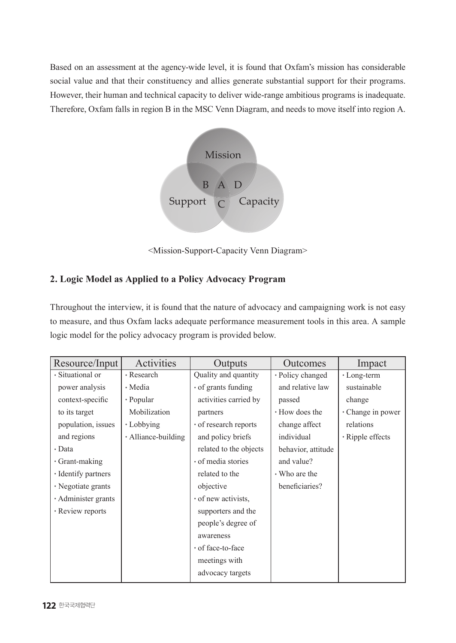Based on an assessment at the agency-wide level, it is found that Oxfam's mission has considerable social value and that their constituency and allies generate substantial support for their programs. However, their human and technical capacity to deliver wide-range ambitious programs is inadequate. Therefore, Oxfam falls in region B in the MSC Venn Diagram, and needs to move itself into region A.



<Mission-Support-Capacity Venn Diagram>

# **2. Logic Model as Applied to a Policy Advocacy Program**

Throughout the interview, it is found that the nature of advocacy and campaigning work is not easy to measure, and thus Oxfam lacks adequate performance measurement tools in this area. A sample logic model for the policy advocacy program is provided below.

| Resource/Input      | Activities          | Outputs                | Outcomes           | Impact           |
|---------------------|---------------------|------------------------|--------------------|------------------|
| · Situational or    | • Research          | Quality and quantity   | • Policy changed   | • Long-term      |
| power analysis      | • Media             | • of grants funding    | and relative law   | sustainable      |
| context-specific    | • Popular           | activities carried by  | passed             | change           |
| to its target       | Mobilization        | partners               | • How does the     | Change in power  |
| population, issues  | • Lobbying          | • of research reports  | change affect      | relations        |
| and regions         | • Alliance-building | and policy briefs      | individual         | • Ripple effects |
| • Data              |                     | related to the objects | behavior, attitude |                  |
| · Grant-making      |                     | · of media stories     | and value?         |                  |
| · Identify partners |                     | related to the         | • Who are the      |                  |
| · Negotiate grants  |                     | objective              | beneficiaries?     |                  |
| · Administer grants |                     | · of new activists.    |                    |                  |
| • Review reports    |                     | supporters and the     |                    |                  |
|                     |                     | people's degree of     |                    |                  |
|                     |                     | awareness              |                    |                  |
|                     |                     | · of face-to-face      |                    |                  |
|                     |                     | meetings with          |                    |                  |
|                     |                     | advocacy targets       |                    |                  |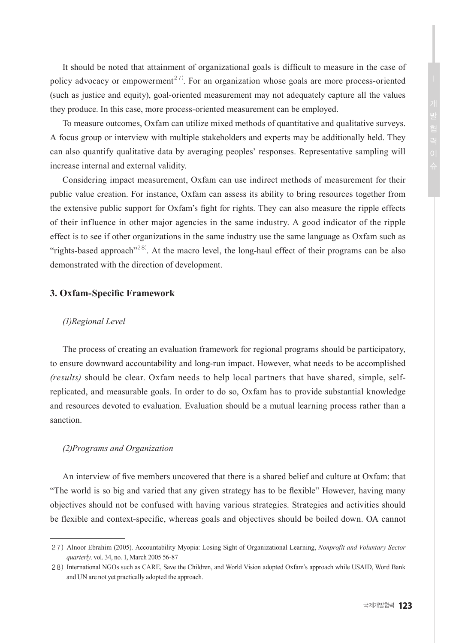It should be noted that attainment of organizational goals is difficult to measure in the case of policy advocacy or empowerment<sup>27)</sup>. For an organization whose goals are more process-oriented (such as justice and equity), goal-oriented measurement may not adequately capture all the values they produce. In this case, more process-oriented measurement can be employed.

To measure outcomes, Oxfam can utilize mixed methods of quantitative and qualitative surveys. A focus group or interview with multiple stakeholders and experts may be additionally held. They can also quantify qualitative data by averaging peoples' responses. Representative sampling will increase internal and external validity.

Considering impact measurement, Oxfam can use indirect methods of measurement for their public value creation. For instance, Oxfam can assess its ability to bring resources together from the extensive public support for Oxfam's fight for rights. They can also measure the ripple effects of their influence in other major agencies in the same industry. A good indicator of the ripple effect is to see if other organizations in the same industry use the same language as Oxfam such as "rights-based approach"<sup>28)</sup>. At the macro level, the long-haul effect of their programs can be also demonstrated with the direction of development.

#### **3. Oxfam-Specific Framework**

#### *(1)Regional Level*

The process of creating an evaluation framework for regional programs should be participatory, to ensure downward accountability and long-run impact. However, what needs to be accomplished *(results)* should be clear. Oxfam needs to help local partners that have shared, simple, selfreplicated, and measurable goals. In order to do so, Oxfam has to provide substantial knowledge and resources devoted to evaluation. Evaluation should be a mutual learning process rather than a sanction.

#### *(2)Programs and Organization*

An interview of five members uncovered that there is a shared belief and culture at Oxfam: that "The world is so big and varied that any given strategy has to be flexible" However, having many objectives should not be confused with having various strategies. Strategies and activities should be flexible and context-specific, whereas goals and objectives should be boiled down. OA cannot

<sup>27)</sup> Alnoor Ebrahim (2005). Accountability Myopia: Losing Sight of Organizational Learning, *Nonprofit and Voluntary Sector quarterly,* vol. 34, no. 1, March 2005 56-87

<sup>28)</sup> International NGOs such as CARE, Save the Children, and World Vision adopted Oxfam's approach while USAID, Word Bank and UN are not yet practically adopted the approach.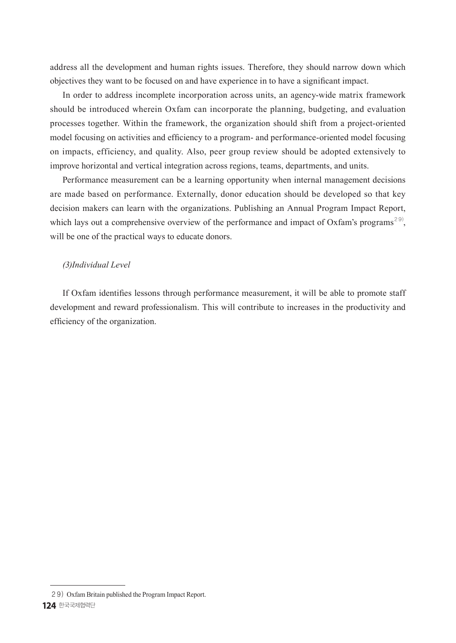address all the development and human rights issues. Therefore, they should narrow down which objectives they want to be focused on and have experience in to have a significant impact.

In order to address incomplete incorporation across units, an agency-wide matrix framework should be introduced wherein Oxfam can incorporate the planning, budgeting, and evaluation processes together. Within the framework, the organization should shift from a project-oriented model focusing on activities and efficiency to a program- and performance-oriented model focusing on impacts, efficiency, and quality. Also, peer group review should be adopted extensively to improve horizontal and vertical integration across regions, teams, departments, and units.

Performance measurement can be a learning opportunity when internal management decisions are made based on performance. Externally, donor education should be developed so that key decision makers can learn with the organizations. Publishing an Annual Program Impact Report, which lays out a comprehensive overview of the performance and impact of Oxfam's programs<sup>29)</sup>, will be one of the practical ways to educate donors.

#### *(3)Individual Level*

If Oxfam identifies lessons through performance measurement, it will be able to promote staff development and reward professionalism. This will contribute to increases in the productivity and efficiency of the organization.

<sup>29)</sup> Oxfam Britain published the Program Impact Report.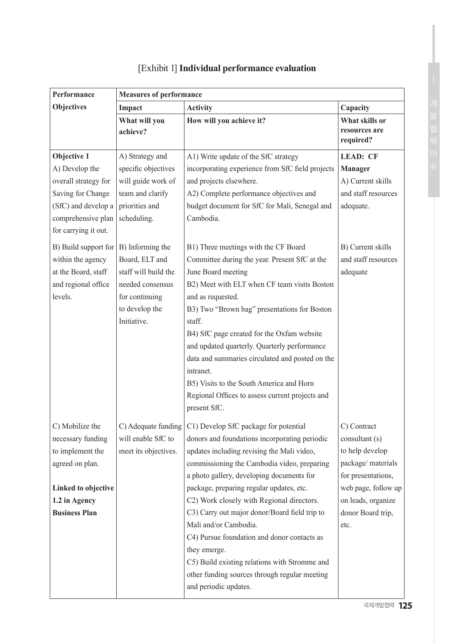| Performance          | <b>Measures of performance</b> |                                                  |                            |
|----------------------|--------------------------------|--------------------------------------------------|----------------------------|
| <b>Objectives</b>    | Impact                         | <b>Activity</b>                                  | Capacity                   |
|                      | What will you                  | How will you achieve it?                         | What skills or             |
|                      | achieve?                       |                                                  | resources are<br>required? |
| Objective 1          | A) Strategy and                | A1) Write update of the SfC strategy             | <b>LEAD: CF</b>            |
| A) Develop the       | specific objectives            | incorporating experience from SfC field projects | Manager                    |
| overall strategy for | will guide work of             | and projects elsewhere.                          | A) Current skills          |
| Saving for Change    | team and clarify               | A2) Complete performance objectives and          | and staff resources        |
| (SfC) and develop a  | priorities and                 | budget document for SfC for Mali, Senegal and    | adequate.                  |
| comprehensive plan   | scheduling.                    | Cambodia.                                        |                            |
| for carrying it out. |                                |                                                  |                            |
| B) Build support for | B) Informing the               | B1) Three meetings with the CF Board             | B) Current skills          |
| within the agency    | Board, ELT and                 | Committee during the year. Present SfC at the    | and staff resources        |
| at the Board, staff  | staff will build the           | June Board meeting                               | adequate                   |
| and regional office  | needed consensus               | B2) Meet with ELT when CF team visits Boston     |                            |
| levels.              | for continuing                 | and as requested.                                |                            |
|                      | to develop the                 | B3) Two "Brown bag" presentations for Boston     |                            |
|                      | Initiative.                    | staff.                                           |                            |
|                      |                                | B4) SfC page created for the Oxfam website       |                            |
|                      |                                | and updated quarterly. Quarterly performance     |                            |
|                      |                                | data and summaries circulated and posted on the  |                            |
|                      |                                | intranet.                                        |                            |
|                      |                                | B5) Visits to the South America and Horn         |                            |
|                      |                                | Regional Offices to assess current projects and  |                            |
|                      |                                | present SfC.                                     |                            |
| C) Mobilize the      | C) Adequate funding            | C1) Develop SfC package for potential            | C) Contract                |
| necessary funding    | will enable SfC to             | donors and foundations incorporating periodic    | consultant (s)             |
| to implement the     | meet its objectives.           | updates including revising the Mali video,       | to help develop            |
| agreed on plan.      |                                | commissioning the Cambodia video, preparing      | package/ materials         |
|                      |                                | a photo gallery, developing documents for        | for presentations,         |
| Linked to objective  |                                | package, preparing regular updates, etc.         | web page, follow up        |
| 1.2 in Agency        |                                | C2) Work closely with Regional directors.        | on leads, organize         |
| <b>Business Plan</b> |                                | C3) Carry out major donor/Board field trip to    | donor Board trip,          |
|                      |                                | Mali and/or Cambodia.                            | etc.                       |
|                      |                                | C4) Pursue foundation and donor contacts as      |                            |
|                      |                                | they emerge.                                     |                            |
|                      |                                | C5) Build existing relations with Stromme and    |                            |
|                      |                                | other funding sources through regular meeting    |                            |
|                      |                                | and periodic updates.                            |                            |

# [Exhibit 1] **Individual performance evaluation**